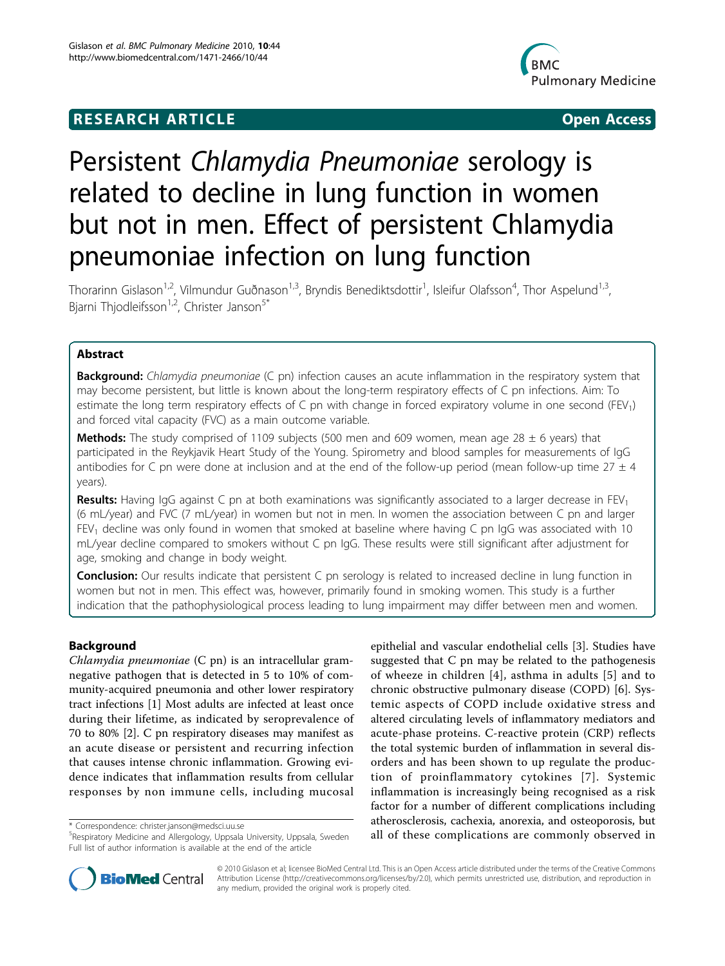# **RESEARCH ARTICLE Example 2018 CONSIDERING ACCESS**



# Persistent Chlamydia Pneumoniae serology is related to decline in lung function in women but not in men. Effect of persistent Chlamydia pneumoniae infection on lung function

Thorarinn Gislason<sup>1,2</sup>, Vilmundur Guðnason<sup>1,3</sup>, Bryndis Benediktsdottir<sup>1</sup>, Isleifur Olafsson<sup>4</sup>, Thor Aspelund<sup>1,3</sup>, Bjarni Thjodleifsson<sup>1,2</sup>, Christer Janson<sup>5\*</sup>

# Abstract

**Background:** Chlamydia pneumoniae (C pn) infection causes an acute inflammation in the respiratory system that may become persistent, but little is known about the long-term respiratory effects of C pn infections. Aim: To estimate the long term respiratory effects of C pn with change in forced expiratory volume in one second (FEV<sub>1</sub>) and forced vital capacity (FVC) as a main outcome variable.

**Methods:** The study comprised of 1109 subjects (500 men and 609 women, mean age 28  $\pm$  6 years) that participated in the Reykjavik Heart Study of the Young. Spirometry and blood samples for measurements of IgG antibodies for C pn were done at inclusion and at the end of the follow-up period (mean follow-up time  $27 \pm 4$ years).

Results: Having IgG against C pn at both examinations was significantly associated to a larger decrease in FEV<sub>1</sub> (6 mL/year) and FVC (7 mL/year) in women but not in men. In women the association between C pn and larger FEV<sub>1</sub> decline was only found in women that smoked at baseline where having C pn IgG was associated with 10 mL/year decline compared to smokers without C pn IgG. These results were still significant after adjustment for age, smoking and change in body weight.

Conclusion: Our results indicate that persistent C pn serology is related to increased decline in lung function in women but not in men. This effect was, however, primarily found in smoking women. This study is a further indication that the pathophysiological process leading to lung impairment may differ between men and women.

# Background

Chlamydia pneumoniae (C pn) is an intracellular gramnegative pathogen that is detected in 5 to 10% of community-acquired pneumonia and other lower respiratory tract infections [[1](#page-5-0)] Most adults are infected at least once during their lifetime, as indicated by seroprevalence of 70 to 80% [\[2](#page-5-0)]. C pn respiratory diseases may manifest as an acute disease or persistent and recurring infection that causes intense chronic inflammation. Growing evidence indicates that inflammation results from cellular responses by non immune cells, including mucosal

epithelial and vascular endothelial cells [\[3](#page-5-0)]. Studies have suggested that C pn may be related to the pathogenesis of wheeze in children [\[4\]](#page-5-0), asthma in adults [[5\]](#page-5-0) and to chronic obstructive pulmonary disease (COPD) [\[6](#page-5-0)]. Systemic aspects of COPD include oxidative stress and altered circulating levels of inflammatory mediators and acute-phase proteins. C-reactive protein (CRP) reflects the total systemic burden of inflammation in several disorders and has been shown to up regulate the production of proinflammatory cytokines [[7](#page-5-0)]. Systemic inflammation is increasingly being recognised as a risk factor for a number of different complications including atherosclerosis, cachexia, anorexia, and osteoporosis, but all of these correspondence: [christer.janson@medsci.uu.se](mailto:christer.janson@medsci.uu.se) and only negall of these complications are commonly observed in \* Correspondence: christer.janson@medsci.uu.se university, Uppsala, Sweden all of these complication



© 2010 Gislason et al; licensee BioMed Central Ltd. This is an Open Access article distributed under the terms of the Creative Commons Attribution License [\(http://creativecommons.org/licenses/by/2.0](http://creativecommons.org/licenses/by/2.0)), which permits unrestricted use, distribution, and reproduction in any medium, provided the original work is properly cited.

<sup>&</sup>lt;sup>5</sup>Respiratory Medicine and Allergology, Uppsala University, Uppsala, Sweden Full list of author information is available at the end of the article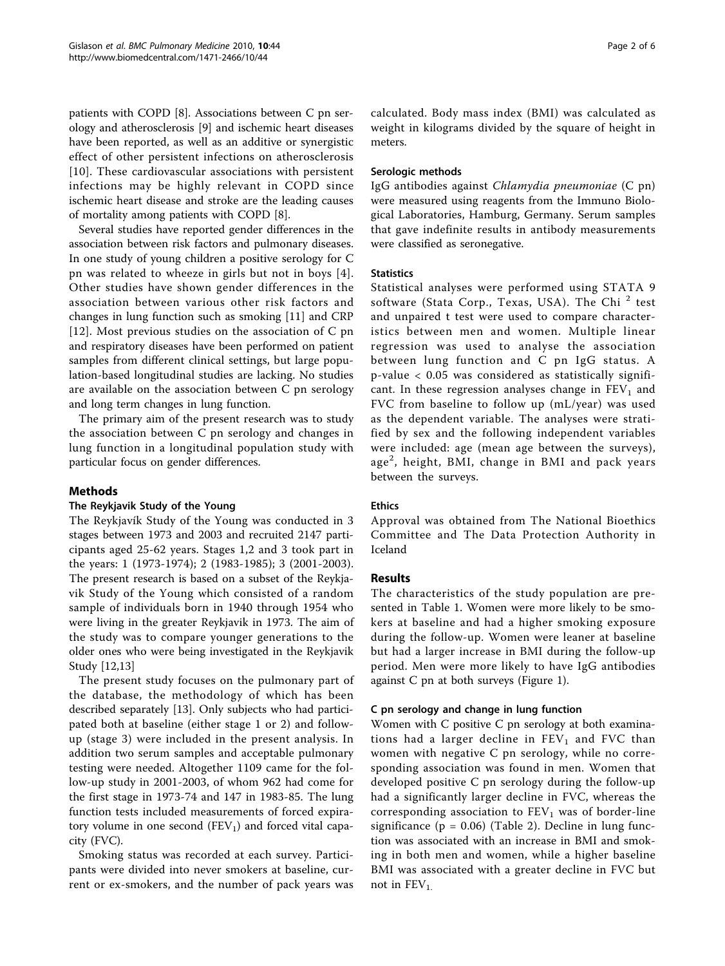patients with COPD [[8](#page-5-0)]. Associations between C pn serology and atherosclerosis [\[9](#page-5-0)] and ischemic heart diseases have been reported, as well as an additive or synergistic effect of other persistent infections on atherosclerosis [[10](#page-5-0)]. These cardiovascular associations with persistent infections may be highly relevant in COPD since ischemic heart disease and stroke are the leading causes of mortality among patients with COPD [[8](#page-5-0)].

Several studies have reported gender differences in the association between risk factors and pulmonary diseases. In one study of young children a positive serology for C pn was related to wheeze in girls but not in boys [[4\]](#page-5-0). Other studies have shown gender differences in the association between various other risk factors and changes in lung function such as smoking [[11\]](#page-5-0) and CRP [[12](#page-5-0)]. Most previous studies on the association of C pn and respiratory diseases have been performed on patient samples from different clinical settings, but large population-based longitudinal studies are lacking. No studies are available on the association between C pn serology and long term changes in lung function.

The primary aim of the present research was to study the association between C pn serology and changes in lung function in a longitudinal population study with particular focus on gender differences.

# Methods

# The Reykjavik Study of the Young

The Reykjavík Study of the Young was conducted in 3 stages between 1973 and 2003 and recruited 2147 participants aged 25-62 years. Stages 1,2 and 3 took part in the years: 1 (1973-1974); 2 (1983-1985); 3 (2001-2003). The present research is based on a subset of the Reykjavik Study of the Young which consisted of a random sample of individuals born in 1940 through 1954 who were living in the greater Reykjavik in 1973. The aim of the study was to compare younger generations to the older ones who were being investigated in the Reykjavik Study [\[12,13\]](#page-5-0)

The present study focuses on the pulmonary part of the database, the methodology of which has been described separately [\[13](#page-5-0)]. Only subjects who had participated both at baseline (either stage 1 or 2) and followup (stage 3) were included in the present analysis. In addition two serum samples and acceptable pulmonary testing were needed. Altogether 1109 came for the follow-up study in 2001-2003, of whom 962 had come for the first stage in 1973-74 and 147 in 1983-85. The lung function tests included measurements of forced expiratory volume in one second  $(FEV_1)$  and forced vital capacity (FVC).

Smoking status was recorded at each survey. Participants were divided into never smokers at baseline, current or ex-smokers, and the number of pack years was calculated. Body mass index (BMI) was calculated as weight in kilograms divided by the square of height in meters.

# Serologic methods

IgG antibodies against Chlamydia pneumoniae (C pn) were measured using reagents from the Immuno Biological Laboratories, Hamburg, Germany. Serum samples that gave indefinite results in antibody measurements were classified as seronegative.

# **Statistics**

Statistical analyses were performed using STATA 9 software (Stata Corp., Texas, USA). The Chi<sup>2</sup> test and unpaired t test were used to compare characteristics between men and women. Multiple linear regression was used to analyse the association between lung function and C pn IgG status. A p-value < 0.05 was considered as statistically significant. In these regression analyses change in  $FEV<sub>1</sub>$  and FVC from baseline to follow up (mL/year) was used as the dependent variable. The analyses were stratified by sex and the following independent variables were included: age (mean age between the surveys), age<sup>2</sup>, height, BMI, change in BMI and pack years between the surveys.

# Ethics

Approval was obtained from The National Bioethics Committee and The Data Protection Authority in Iceland

# Results

The characteristics of the study population are presented in Table [1.](#page-2-0) Women were more likely to be smokers at baseline and had a higher smoking exposure during the follow-up. Women were leaner at baseline but had a larger increase in BMI during the follow-up period. Men were more likely to have IgG antibodies against C pn at both surveys (Figure [1](#page-2-0)).

### C pn serology and change in lung function

Women with C positive C pn serology at both examinations had a larger decline in  $FEV<sub>1</sub>$  and  $FVC$  than women with negative C pn serology, while no corresponding association was found in men. Women that developed positive C pn serology during the follow-up had a significantly larger decline in FVC, whereas the corresponding association to  $FEV<sub>1</sub>$  was of border-line significance ( $p = 0.06$ ) (Table [2](#page-3-0)). Decline in lung function was associated with an increase in BMI and smoking in both men and women, while a higher baseline BMI was associated with a greater decline in FVC but not in  $FEV<sub>1</sub>$ .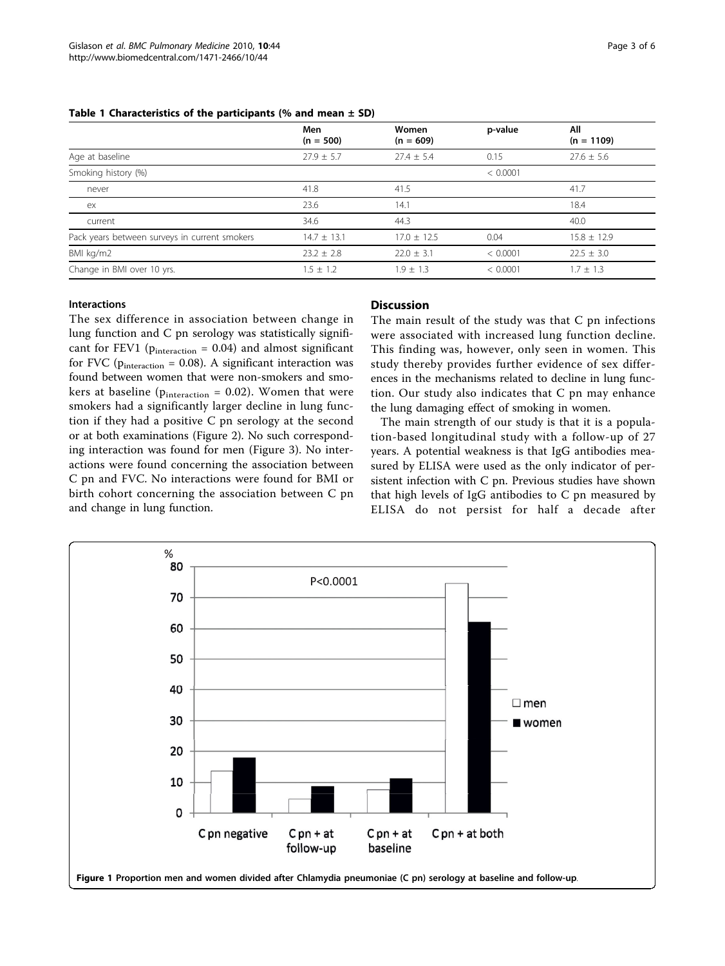|                                               | Men<br>$(n = 500)$ | Women<br>$(n = 609)$ | p-value  | All<br>$(n = 1109)$ |
|-----------------------------------------------|--------------------|----------------------|----------|---------------------|
| Age at baseline                               | $27.9 + 5.7$       | $27.4 \pm 5.4$       | 0.15     | $27.6 \pm 5.6$      |
| Smoking history (%)                           |                    |                      | < 0.0001 |                     |
| never                                         | 41.8               | 41.5                 |          | 41.7                |
| ex                                            | 23.6               | 14.1                 |          | 18.4                |
| current                                       | 34.6               | 44.3                 |          | 40.0                |
| Pack years between surveys in current smokers | $14.7 \pm 13.1$    | $17.0 \pm 12.5$      | 0.04     | $15.8 \pm 12.9$     |
| BMI kg/m2                                     | $23.2 \pm 2.8$     | $22.0 \pm 3.1$       | < 0.0001 | $22.5 \pm 3.0$      |
| Change in BMI over 10 yrs.                    | $1.5 \pm 1.2$      | $1.9 \pm 1.3$        | < 0.0001 | $1.7 \pm 1.3$       |

#### <span id="page-2-0"></span>Table 1 Characteristics of the participants (% and mean  $\pm$  SD)

#### Interactions

The sex difference in association between change in lung function and C pn serology was statistically significant for FEV1 ( $p_{interaction} = 0.04$ ) and almost significant for FVC ( $p_{interaction} = 0.08$ ). A significant interaction was found between women that were non-smokers and smokers at baseline ( $p_{interaction} = 0.02$ ). Women that were smokers had a significantly larger decline in lung function if they had a positive C pn serology at the second or at both examinations (Figure [2](#page-3-0)). No such corresponding interaction was found for men (Figure [3](#page-4-0)). No interactions were found concerning the association between C pn and FVC. No interactions were found for BMI or birth cohort concerning the association between C pn and change in lung function.

### **Discussion**

The main result of the study was that C pn infections were associated with increased lung function decline. This finding was, however, only seen in women. This study thereby provides further evidence of sex differences in the mechanisms related to decline in lung function. Our study also indicates that C pn may enhance the lung damaging effect of smoking in women.

The main strength of our study is that it is a population-based longitudinal study with a follow-up of 27 years. A potential weakness is that IgG antibodies measured by ELISA were used as the only indicator of persistent infection with C pn. Previous studies have shown that high levels of IgG antibodies to C pn measured by ELISA do not persist for half a decade after

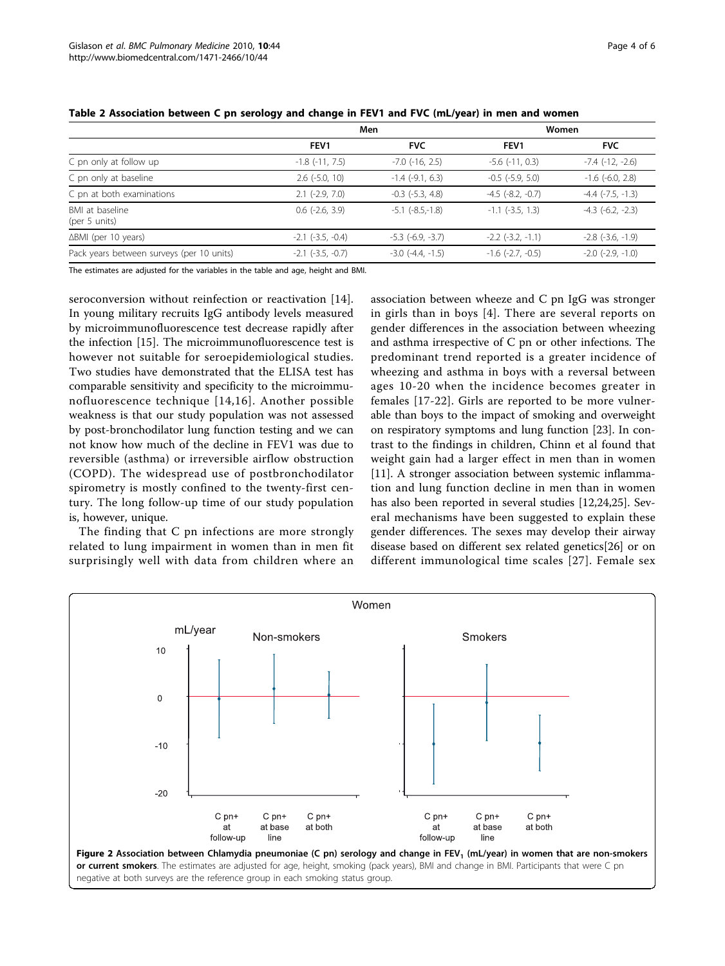|                                           | Men                      |                        | Women                 |                       |
|-------------------------------------------|--------------------------|------------------------|-----------------------|-----------------------|
|                                           | FEV <sub>1</sub>         | <b>FVC</b>             | FEV <sub>1</sub>      | <b>FVC</b>            |
| C pn only at follow up                    | $-1.8$ ( $-11, 7.5$ )    | $-7.0$ ( $-16$ , 2.5)  | $-5.6$ $(-11, 0.3)$   | $-7.4$ $(-12, -2.6)$  |
| C pn only at baseline                     | $2.6$ ( $-5.0$ , 10)     | $-1.4$ ( $-9.1, 6.3$ ) | $-0.5$ $(-5.9, 5.0)$  | $-1.6$ $(-6.0, 2.8)$  |
| C pn at both examinations                 | $2.1$ (-2.9, 7.0)        | $-0.3$ $(-5.3, 4.8)$   | $-4.5$ $(-8.2, -0.7)$ | $-4.4$ $(-7.5, -1.3)$ |
| BMI at baseline<br>(per 5 units)          | $0.6$ ( $-2.6$ , $3.9$ ) | $-5.1$ $(-8.5,-1.8)$   | $-1.1$ $(-3.5, 1.3)$  | $-4.3$ $(-6.2, -2.3)$ |
| $\Delta$ BMI (per 10 years)               | $-2.1$ $(-3.5, -0.4)$    | $-5.3$ $(-6.9, -3.7)$  | $-2.2$ $(-3.2, -1.1)$ | $-2.8$ $(-3.6, -1.9)$ |
| Pack years between surveys (per 10 units) | $-2.1$ $(-3.5, -0.7)$    | $-3.0$ $(-4.4, -1.5)$  | $-1.6$ $(-2.7, -0.5)$ | $-2.0$ $(-2.9, -1.0)$ |

### <span id="page-3-0"></span>Table 2 Association between C pn serology and change in FEV1 and FVC (mL/year) in men and women

The estimates are adjusted for the variables in the table and age, height and BMI.

seroconversion without reinfection or reactivation [[14](#page-5-0)]. In young military recruits IgG antibody levels measured by microimmunofluorescence test decrease rapidly after the infection [\[15](#page-5-0)]. The microimmunofluorescence test is however not suitable for seroepidemiological studies. Two studies have demonstrated that the ELISA test has comparable sensitivity and specificity to the microimmunofluorescence technique [[14](#page-5-0),[16\]](#page-5-0). Another possible weakness is that our study population was not assessed by post-bronchodilator lung function testing and we can not know how much of the decline in FEV1 was due to reversible (asthma) or irreversible airflow obstruction (COPD). The widespread use of postbronchodilator spirometry is mostly confined to the twenty-first century. The long follow-up time of our study population is, however, unique.

The finding that C pn infections are more strongly related to lung impairment in women than in men fit surprisingly well with data from children where an

association between wheeze and C pn IgG was stronger in girls than in boys [[4](#page-5-0)]. There are several reports on gender differences in the association between wheezing and asthma irrespective of C pn or other infections. The predominant trend reported is a greater incidence of wheezing and asthma in boys with a reversal between ages 10-20 when the incidence becomes greater in females [\[17-22](#page-5-0)]. Girls are reported to be more vulnerable than boys to the impact of smoking and overweight on respiratory symptoms and lung function [\[23\]](#page-5-0). In contrast to the findings in children, Chinn et al found that weight gain had a larger effect in men than in women [[11\]](#page-5-0). A stronger association between systemic inflammation and lung function decline in men than in women has also been reported in several studies [[12](#page-5-0),[24](#page-5-0),[25](#page-5-0)]. Several mechanisms have been suggested to explain these gender differences. The sexes may develop their airway disease based on different sex related genetics[\[26](#page-5-0)] or on different immunological time scales [[27\]](#page-5-0). Female sex

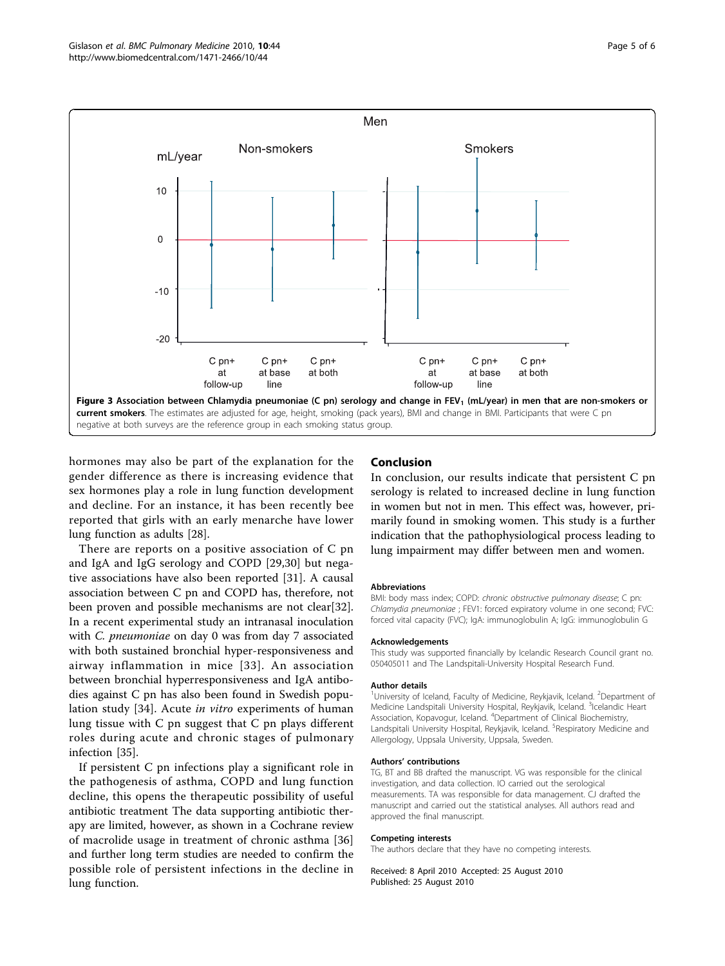<span id="page-4-0"></span>

hormones may also be part of the explanation for the gender difference as there is increasing evidence that sex hormones play a role in lung function development and decline. For an instance, it has been recently bee reported that girls with an early menarche have lower lung function as adults [\[28](#page-5-0)].

There are reports on a positive association of C pn and IgA and IgG serology and COPD [[29,30\]](#page-5-0) but negative associations have also been reported [[31\]](#page-5-0). A causal association between C pn and COPD has, therefore, not been proven and possible mechanisms are not clear[\[32](#page-5-0)]. In a recent experimental study an intranasal inoculation with *C. pneumoniae* on day 0 was from day 7 associated with both sustained bronchial hyper-responsiveness and airway inflammation in mice [[33](#page-5-0)]. An association between bronchial hyperresponsiveness and IgA antibodies against C pn has also been found in Swedish population study [\[34](#page-5-0)]. Acute in vitro experiments of human lung tissue with C pn suggest that C pn plays different roles during acute and chronic stages of pulmonary infection [[35\]](#page-5-0).

If persistent C pn infections play a significant role in the pathogenesis of asthma, COPD and lung function decline, this opens the therapeutic possibility of useful antibiotic treatment The data supporting antibiotic therapy are limited, however, as shown in a Cochrane review of macrolide usage in treatment of chronic asthma [\[36](#page-5-0)] and further long term studies are needed to confirm the possible role of persistent infections in the decline in lung function.

# Conclusion

In conclusion, our results indicate that persistent C pn serology is related to increased decline in lung function in women but not in men. This effect was, however, primarily found in smoking women. This study is a further indication that the pathophysiological process leading to lung impairment may differ between men and women.

#### **Abbreviations**

BMI: body mass index; COPD: chronic obstructive pulmonary disease; C pn: Chlamydia pneumoniae ; FEV1: forced expiratory volume in one second; FVC: forced vital capacity (FVC); IgA: immunoglobulin A; IgG: immunoglobulin G

#### Acknowledgements

This study was supported financially by Icelandic Research Council grant no. 050405011 and The Landspitali-University Hospital Research Fund.

#### Author details

<sup>1</sup>University of Iceland, Faculty of Medicine, Reykjavik, Iceland. <sup>2</sup>Department of Medicine Landspitali University Hospital, Reykjavik, Iceland. <sup>3</sup>Icelandic Heart Association, Kopavogur, Iceland. <sup>4</sup>Department of Clinical Biochemistry, Landspitali University Hospital, Reykjavik, Iceland. <sup>5</sup>Respiratory Medicine and Allergology, Uppsala University, Uppsala, Sweden.

#### Authors' contributions

TG, BT and BB drafted the manuscript. VG was responsible for the clinical investigation, and data collection. IO carried out the serological measurements. TA was responsible for data management. CJ drafted the manuscript and carried out the statistical analyses. All authors read and approved the final manuscript.

#### Competing interests

The authors declare that they have no competing interests.

Received: 8 April 2010 Accepted: 25 August 2010 Published: 25 August 2010